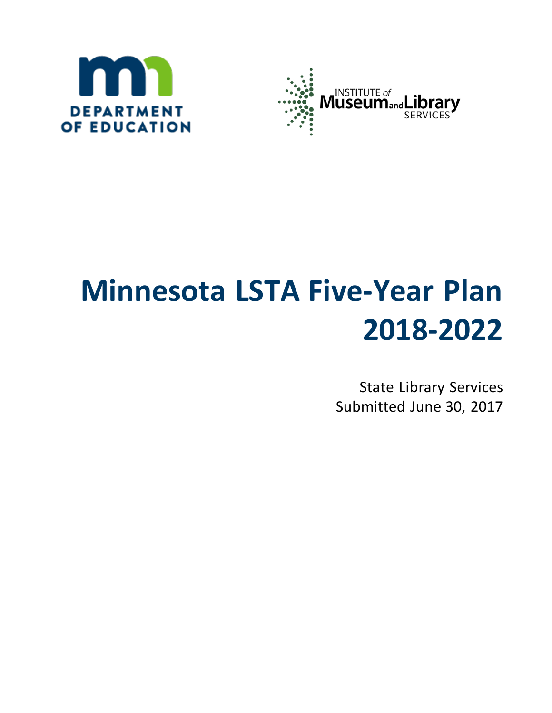



# **Minnesota LSTA Five-Year Plan 2018-2022**

State Library Services Submitted June 30, 2017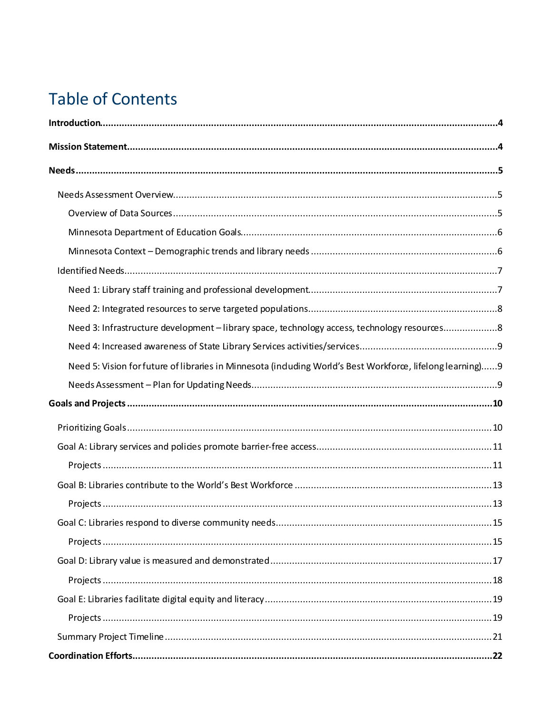# **Table of Contents**

| Need 3: Infrastructure development - library space, technology access, technology resources8              |
|-----------------------------------------------------------------------------------------------------------|
|                                                                                                           |
| Need 5: Vision for future of libraries in Minnesota (induding World's Best Workforce, lifelong learning)9 |
|                                                                                                           |
|                                                                                                           |
|                                                                                                           |
|                                                                                                           |
|                                                                                                           |
|                                                                                                           |
|                                                                                                           |
|                                                                                                           |
|                                                                                                           |
|                                                                                                           |
|                                                                                                           |
|                                                                                                           |
|                                                                                                           |
|                                                                                                           |
|                                                                                                           |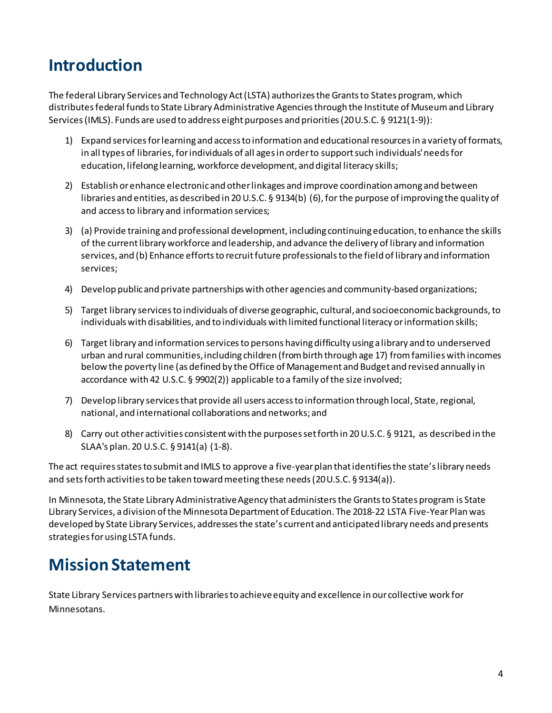# <span id="page-3-0"></span>**Introduction**

The federal Library Services and Technology Act (LSTA) authorizes the Grants to States program, which distributes federal funds to State Library Administrative Agencies through the Institute of Museum and Library Services (IMLS). Funds are used to address eight purposes and priorities(20 U.S.C. § 9121(1-9)):

- 1) Expand services for learning and access to information and educational resources in a variety of formats, in all types of libraries, for individuals of all ages in order to support such individuals' needs for education, lifelong learning, workforce development, and digital literacy skills;
- 2) Establish or enhance electronic and other linkages and improve coordination among and between libraries and entities, as described in 20 U.S.C. § 9134(b) (6), for the purpose of improving the quality of and access to library and information services;
- 3) (a) Provide training and professional development, including continuing education, to enhance the skills of the currentlibrary workforce and leadership, and advance the delivery of library and information services, and (b) Enhance efforts to recruit future professionals to the field of library and information services;
- 4) Develop public and private partnerships with other agencies and community-based organizations;
- 5) Target library services to individuals of diverse geographic, cultural, and socioeconomic backgrounds, to individuals with disabilities, and to individuals with limited functional literacy or information skills;
- 6) Target library and information services to persons having difficulty using a library and to underserved urban and rural communities, including children (from birth through age 17) from families with incomes below the poverty line (as defined by the Office of Management and Budget and revised annually in accordance with 42 U.S.C. § 9902(2)) applicable to a family of the size involved;
- 7) Develop library services that provide all users access to information through local, State, regional, national, and international collaborations and networks; and
- 8) Carry out other activities consistent with the purposes set forth in 20 U.S.C. § 9121, as described in the SLAA's plan. 20 U.S.C. § 9141(a) (1-8).

The act requires states to submit and IMLS to approve a five-year plan that identifies the state's library needs and sets forth activities to be taken toward meeting these needs (20 U.S.C. § 9134(a)).

In Minnesota, the State Library Administrative Agency that administers the Grants to States program is State Library Services, a division of the Minnesota Department of Education. The 2018-22 LSTA Five-Year Plan was developed by State Library Services, addresses the state's current and anticipated library needs and presents strategies for using LSTA funds.

# <span id="page-3-1"></span>**Mission Statement**

State Library Services partners with libraries to achieve equity and excellence in our collective work for Minnesotans.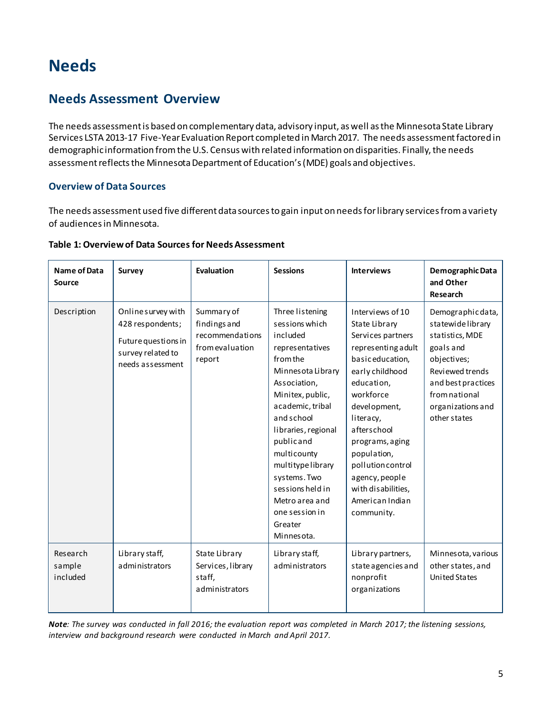# <span id="page-4-0"></span>**Needs**

### <span id="page-4-1"></span>**Needs Assessment Overview**

The needs assessment is based on complementary data, advisory input, as well as the Minnesota State Library Services LSTA 2013-17 Five-Year Evaluation Report completed in March 2017. The needs assessment factored in demographic information from the U.S. Census with related information on disparities. Finally, the needs assessment reflects the Minnesota Department of Education's (MDE) goals and objectives.

#### <span id="page-4-2"></span>**Overview of Data Sources**

The needs assessment used five different data sources to gain input on needs for library services from a variety of audiences in Minnesota.

| Name of Data<br><b>Source</b>  | <b>Survey</b>                                                                                          | Evaluation                                                                 | <b>Sessions</b>                                                                                                                                                                                                                                                                                                                                  | <b>Interviews</b>                                                                                                                                                                                                                                                                                                         | Demographic Data<br>and Other<br>Research                                                                                                                                           |
|--------------------------------|--------------------------------------------------------------------------------------------------------|----------------------------------------------------------------------------|--------------------------------------------------------------------------------------------------------------------------------------------------------------------------------------------------------------------------------------------------------------------------------------------------------------------------------------------------|---------------------------------------------------------------------------------------------------------------------------------------------------------------------------------------------------------------------------------------------------------------------------------------------------------------------------|-------------------------------------------------------------------------------------------------------------------------------------------------------------------------------------|
| Description                    | Online survey with<br>428 respondents;<br>Future questions in<br>survey related to<br>needs assessment | Summary of<br>findings and<br>recommendations<br>from evaluation<br>report | Three listening<br>sessions which<br>included<br>representatives<br>from the<br>Minnes ota Library<br>Association,<br>Minitex, public,<br>academic, tribal<br>and school<br>libraries, regional<br>publicand<br>multicounty<br>multitypelibrary<br>systems. Two<br>sessions held in<br>Metro area and<br>one session in<br>Greater<br>Minnesota. | Interviews of 10<br>State Library<br>Services partners<br>representing adult<br>basic education,<br>early childhood<br>education,<br>workforce<br>development,<br>literacy,<br>afterschool<br>programs, aging<br>population,<br>pollutioncontrol<br>agency, people<br>with disabilities,<br>American Indian<br>community. | Demographic data,<br>statewidelibrary<br>statistics, MDE<br>goals and<br>objectives;<br>Reviewed trends<br>and best practices<br>from national<br>organizations and<br>other states |
| Research<br>sample<br>included | Library staff,<br>administrators                                                                       | State Library<br>Services, library<br>staff,<br>administrators             | Library staff,<br>administrators                                                                                                                                                                                                                                                                                                                 | Library partners,<br>state agencies and<br>nonprofit<br>organizations                                                                                                                                                                                                                                                     | Minnesota, various<br>other states, and<br><b>United States</b>                                                                                                                     |

#### **Table 1: Overview of Data Sources for Needs Assessment**

*Note: The survey was conducted in fall 2016; the evaluation report was completed in March 2017; the listening sessions, interview and background research were conducted in March and April 2017.*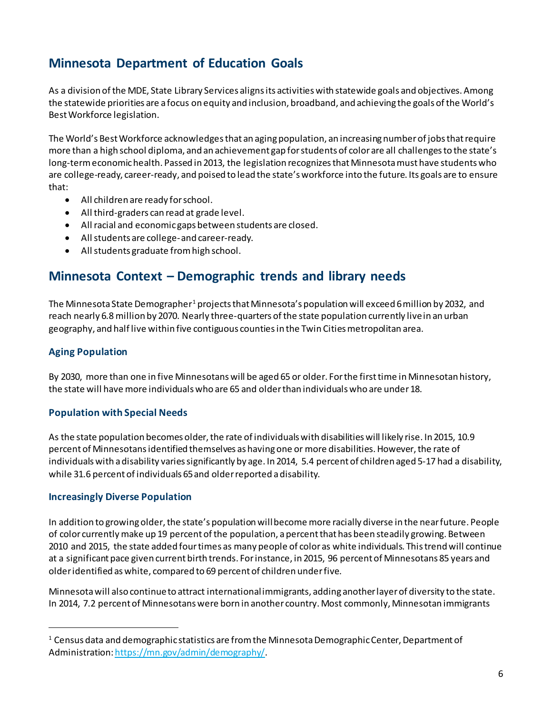## <span id="page-5-0"></span>**Minnesota Department of Education Goals**

As a division of the MDE, State Library Services aligns its activities with statewide goals and objectives. Among the statewide priorities are a focus on equity and inclusion, broadband, and achieving the goals of th[e World's](http://www.education.state.mn.us/MDE/SchSup/WorldsBestWorkforce/index.html)  [Best Workforce](http://www.education.state.mn.us/MDE/SchSup/WorldsBestWorkforce/index.html) legislation.

The World's Best Workforce acknowledges that an aging population, an increasing number of jobs that require more than a high school diploma, and an achievement gap for students of color are all challenges to the state's long-term economic health. Passed in 2013, the legislation recognizes that Minnesota must have students who are college-ready, career-ready, and poised to lead the state's workforce into the future. Its goals are to ensure that:

- All children are ready for school.
- All third-graders can read at grade level.
- All racial and economic gaps between students are closed.
- All students are college- and career-ready.
- All students graduate from high school.

### <span id="page-5-1"></span>**Minnesota Context – Demographic trends and library needs**

The Minnesota State Demographer<sup>[1](#page-5-2)</sup> projects that Minnesota's population will exceed 6 million by 2032, and reach nearly 6.8 million by 2070. Nearly three-quarters of the state population currently livein an urban geography, and half live within five contiguous counties in the Twin Cities metropolitan area.

#### **Aging Population**

 $\overline{a}$ 

By 2030, more than one in five Minnesotans will be aged 65 or older. For the first time in Minnesotan history, the state will have more individuals who are 65 and older than individuals who are under 18.

#### **Population with Special Needs**

As the state population becomes older, the rate of individuals with disabilities will likely rise. In 2015, 10.9 percent of Minnesotans identified themselves as having one or more disabilities. However, the rate of individuals with a disability varies significantly by age. In 2014, 5.4 percent of children aged 5-17 had a disability, while 31.6 percent of individuals 65 and older reported a disability.

#### **Increasingly Diverse Population**

In addition to growing older, the state's population will become more racially diverse in the near future. People of color currently make up 19 percent of the population, a percent that has been steadily growing. Between 2010 and 2015, the state added four times as many people of color as white individuals. This trend will continue at a significant pace given current birth trends. For instance, in 2015, 96 percent of Minnesotans 85 years and older identified as white, compared to 69 percent of children under five.

Minnesota will also continue to attract international immigrants, adding another layer of diversity to the state. In 2014, 7.2 percent of Minnesotans were born in another country. Most commonly, Minnesotan immigrants

<span id="page-5-2"></span> $1$  Census data and demographic statistics are from the Minnesota Demographic Center, Department of Administration[: https://mn.gov/admin/demography/](https://mn.gov/admin/demography/).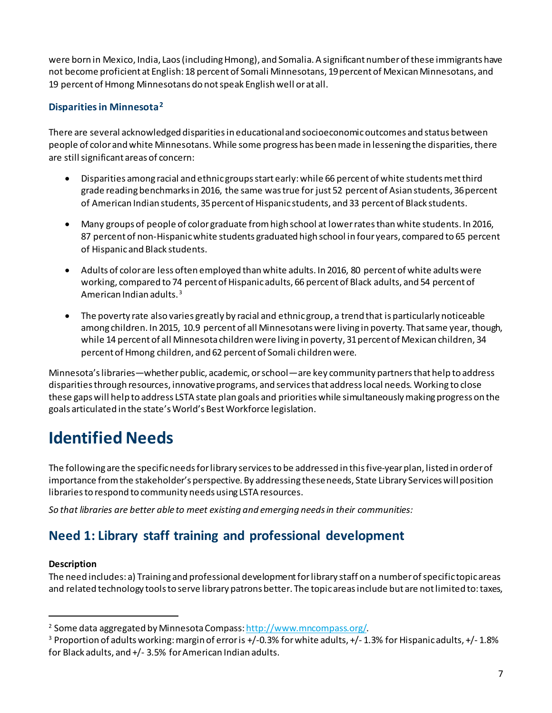were born in Mexico, India, Laos (including Hmong), and Somalia. A significant number of these immigrants have not become proficient at English: 18 percent of Somali Minnesotans, 19 percent of Mexican Minnesotans, and 19 percent of Hmong Minnesotans do not speak English well or at all.

#### **Disparities in Minnesota[2](#page-6-2)**

There are several acknowledged disparities in educationaland socioeconomic outcomes and status between people of color and white Minnesotans. While some progress has been made in lessening the disparities, there are still significant areas of concern:

- Disparities among racial and ethnic groups start early: while 66 percent of white students met third grade reading benchmarks in 2016, the same was true for just 52 percent of Asian students, 36 percent of American Indian students, 35 percent of Hispanic students, and 33 percent of Black students.
- Many groups of people of color graduate from high school at lower rates than white students. In 2016, 87 percent of non-Hispanic white students graduated high school in four years, compared to 65 percent of Hispanic and Black students.
- Adults of color are less often employed than white adults. In 2016, 80 percent of white adults were working, compared to 74 percent of Hispanic adults, 66 percent of Black adults, and 54 percent of American Indian adults. [3](#page-6-3)
- The poverty rate also varies greatly by racial and ethnic group, a trend that is particularly noticeable among children. In 2015, 10.9 percent of all Minnesotans were living in poverty. That same year, though, while 14 percent of all Minnesota children were living in poverty, 31 percent of Mexican children, 34 percent of Hmong children, and 62 percent of Somali children were.

Minnesota's libraries—whether public, academic, or school—are key community partners that help to address disparities through resources, innovative programs, and services that address local needs. Working to close these gaps will help to address LSTA state plan goals and priorities while simultaneously making progress on the goals articulated in the state's World's [Best Workforce](http://www.education.state.mn.us/MDE/SchSup/WorldsBestWorkforce/index.html) legislation.

# <span id="page-6-0"></span>**Identified Needs**

The following are the specific needs for library services to be addressed in this five-year plan, listed in order of importance from the stakeholder's perspective. By addressing these needs, State Library Services will position libraries to respond to community needs using LSTA resources.

<span id="page-6-1"></span>*So that libraries are better able to meet existing and emerging needs in their communities:* 

### **Need 1: Library staff training and professional development**

#### **Description**

 $\overline{a}$ 

The need includes: a) Training and professional development for library staff on a number of specific topic areas and related technology tools to serve library patrons better. The topic areas include but are not limited to: taxes,

<span id="page-6-3"></span><span id="page-6-2"></span><sup>&</sup>lt;sup>2</sup> Some data aggregated by Minnesota Compass: <u>http://www.mncompass.org/</u>.<br><sup>3</sup> Proportion of adults working: margin of error is +/-0.3% for white adults, +/- 1.3% for Hispanic adults, +/- 1.8% for Black adults, and +/- 3.5% for American Indian adults.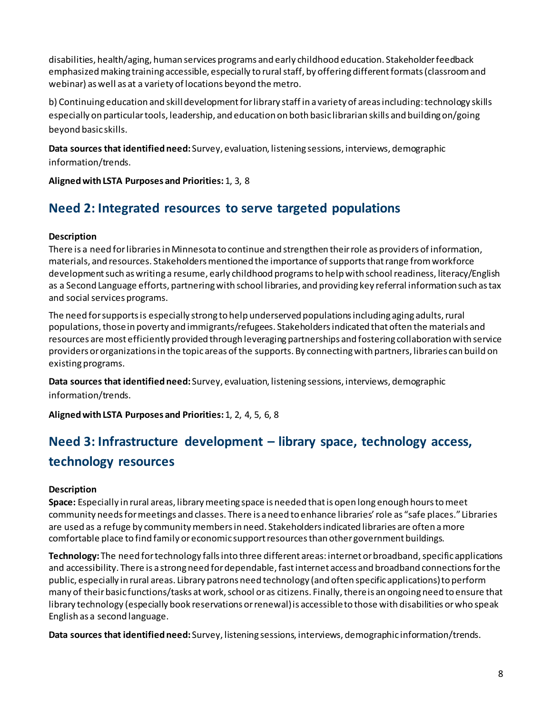disabilities, health/aging, human services programs and early childhood education. Stakeholder feedback emphasized making training accessible, especially to rural staff, by offering different formats (classroom and webinar) as well as at a variety of locations beyond the metro.

b) Continuing education and skill development for library staff in a variety of areas including: technology skills especially on particular tools, leadership, and education on both basic librarian skills and building on/going beyond basic skills.

**Data sources that identified need:** Survey, evaluation, listening sessions, interviews, demographic information/trends.

**Aligned with LSTA Purposes and Priorities:**1, 3, 8

### <span id="page-7-0"></span>**Need 2: Integrated resources to serve targeted populations**

#### **Description**

There is a need for libraries in Minnesota to continue and strengthen their role as providers of information, materials, and resources. Stakeholders mentioned the importance of supports thatrange from workforce development such as writing a resume, early childhood programs to help with school readiness, literacy/English as a Second Language efforts, partnering with school libraries, and providing key referral information such as tax and social services programs.

The need for supports is especially strong to help underserved populations including aging adults, rural populations, those in poverty and immigrants/refugees. Stakeholders indicated that often the materials and resources are most efficiently provided through leveraging partnerships and fostering collaboration with service providers or organizations in the topic areas of the supports. By connecting with partners, libraries can build on existing programs.

**Data sources that identified need:** Survey, evaluation, listening sessions, interviews, demographic information/trends.

<span id="page-7-1"></span>**Alignedwith LSTA Purposes and Priorities:**1, 2, 4, 5, 6, 8

# **Need 3: Infrastructure development – library space, technology access, technology resources**

#### **Description**

**Space:** Especially in rural areas, library meeting space is needed that is open long enough hours to meet community needs for meetings and classes. There is a need to enhance libraries' role as "safe places." Libraries are used as a refuge by community members in need. Stakeholders indicated libraries are often a more comfortable place to find family or economic support resources than other government buildings.

**Technology:** The need for technology falls into three different areas: internet or broadband, specific applications and accessibility. There is a strong need for dependable, fast internet access and broadband connections for the public, especially in rural areas. Library patrons need technology (and often specific applications) to perform many of their basic functions/tasks at work, school or as citizens. Finally, there is an ongoing need to ensure that library technology (especially book reservations or renewal) is accessible to those with disabilities or who speak English as a second language.

**Data sources that identified need:** Survey, listening sessions, interviews, demographic information/trends.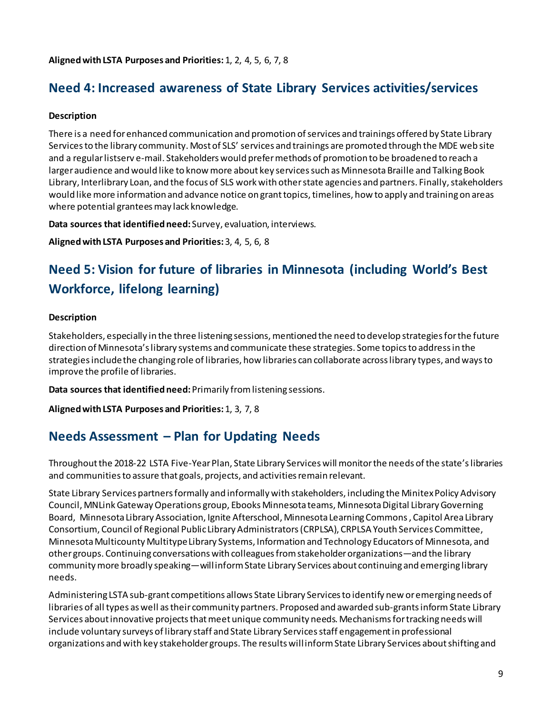#### <span id="page-8-0"></span>**Alignedwith LSTA Purposes and Priorities:** 1, 2, 4, 5, 6, 7, 8

### **Need 4: Increased awareness of State Library Services activities/services**

#### **Description**

There is a need for enhanced communication and promotion of services and trainings offered by State Library Services to the library community. Most of SLS' services and trainings are promoted through the MDE web site and a regular listserv e-mail. Stakeholders would prefer methods of promotion to be broadened to reach a larger audience and would like to know more about key services such as Minnesota Braille and Talking Book Library, Interlibrary Loan, and the focus of SLS work with other state agencies and partners. Finally, stakeholders would like more information and advance notice on grant topics, timelines, how to apply and training on areas where potential grantees may lack knowledge.

**Data sources that identified need:** Survey, evaluation, interviews.

<span id="page-8-1"></span>**Aligned with LSTA Purposes and Priorities:**3, 4, 5, 6, 8

# **Need 5: Vision for future of libraries in Minnesota (including World's Best Workforce, lifelong learning)**

#### **Description**

Stakeholders, especially in the three listening sessions, mentioned the need to develop strategies for the future direction of Minnesota's library systems and communicate these strategies. Some topics to address in the strategies include the changing role of libraries, how libraries can collaborate across library types, and ways to improve the profile of libraries.

**Data sources that identified need:**Primarily from listening sessions.

<span id="page-8-2"></span>**Aligned with LSTA Purposes and Priorities:**1, 3, 7, 8

### **Needs Assessment – Plan for Updating Needs**

Throughout the 2018-22 LSTA Five-Year Plan, State Library Services will monitorthe needs of the state's libraries and communities to assure that goals, projects, and activities remain relevant.

State Library Services partnersformally and informally with stakeholders, including the Minitex Policy Advisory Council, MNLink Gateway Operations group, Ebooks Minnesota teams, Minnesota Digital Library Governing Board, Minnesota Library Association, Ignite Afterschool, Minnesota Learning Commons , Capitol Area Library Consortium, Council of Regional Public Library Administrators (CRPLSA), CRPLSA Youth Services Committee, MinnesotaMulticounty Multitype Library Systems, Information and Technology Educators of Minnesota, and other groups. Continuing conversations with colleaguesfrom stakeholder organizations—and the library community more broadly speaking—will inform State Library Services about continuing and emerging library needs.

Administering LSTA sub-grant competitions allows State Library Servicesto identify new or emerging needs of libraries of all types as well as their community partners. Proposed and awarded sub-grants inform State Library Services about innovative projects that meet unique community needs. Mechanisms for tracking needs will include voluntary surveys of library staff and State Library Services staff engagement in professional organizations and with key stakeholder groups. The results will inform State Library Services about shifting and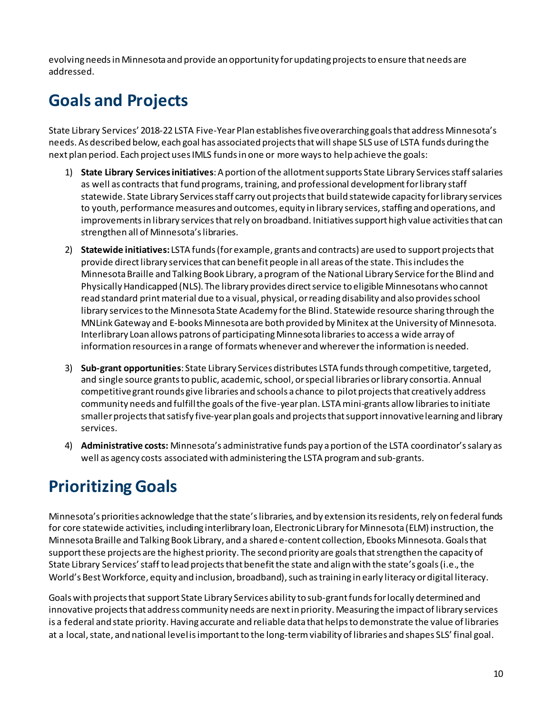evolvingneeds in Minnesota and provide an opportunity for updating projects to ensure that needs are addressed.

# <span id="page-9-0"></span>**Goals and Projects**

State Library Services' 2018-22 LSTA Five-Year Plan establishes fiveoverarching goals that address Minnesota's needs. As described below, each goal has associated projects that will shape SLS use of LSTA funds during the next plan period. Each project uses IMLS funds in one or more ways to help achieve the goals:

- 1) **State Library Servicesinitiatives**: A portion of the allotmentsupports State Library Servicesstaff salaries as well as contracts that fund programs, training, and professional development for library staff statewide. State Library Services staff carry out projects that build statewide capacity for library services to youth, performance measures and outcomes, equity in library services, staffing and operations, and improvements in library servicesthat rely on broadband. Initiatives support high value activities that can strengthen all of Minnesota's libraries.
- 2) **Statewide initiatives:** LSTA funds(for example, grants and contracts) are used to support projects that provide direct library services that can benefit people in all areas of the state. This includes the Minnesota Braille and Talking Book Library, a program of the National Library Service for the Blind and Physically Handicapped (NLS). The library provides direct service to eligible Minnesotans who cannot read standard print material due to a visual, physical, or reading disability and also provides school library services to the Minnesota State Academy for the Blind. Statewide resource sharing through the MNLink Gateway and E-books Minnesota are both provided by Minitex at the University of Minnesota. Interlibrary Loan allows patrons of participating Minnesota libraries to access a wide array of information resources in a range of formats whenever and wherever the information is needed.
- 3) **Sub-grant opportunities**: State Library Services distributes LSTA funds through competitive, targeted, and single source grantsto public, academic, school, or special libraries or library consortia. Annual competitive grant rounds give libraries and schools a chance to pilot projects that creatively address community needs and fulfill the goals of the five-year plan. LSTA mini-grants allow libraries to initiate smaller projects that satisfy five-year plan goals and projects that support innovative learning and library services.
- 4) **Administrative costs:** Minnesota's administrative funds pay a portion of the LSTA coordinator's salary as well as agency costs associated with administering the LSTA program and sub-grants.

# <span id="page-9-1"></span>**PrioritizingGoals**

Minnesota's priorities acknowledge that the state'slibraries, and by extension its residents, rely on federal funds for core statewide activities, including interlibrary loan, Electronic Library for Minnesota (ELM) instruction, the Minnesota Braille and Talking Book Library, and a shared e-content collection, Ebooks Minnesota. Goals that support these projects are the highest priority. The second priority are goals that strengthen the capacity of State Library Services' staff to lead projects that benefit the state and align with the state's goals (i.e., the World's Best Workforce, equity and inclusion, broadband), such as training in early literacy or digital literacy.

Goals with projects that support State Library Services ability to sub-grant funds for locally determined and innovative projects that address community needs are next in priority. Measuring the impact of library services is a federal and state priority. Having accurate and reliable data that helps to demonstrate the value of libraries at a local, state, and national level is important to the long-term viability of libraries and shapes SLS' final goal.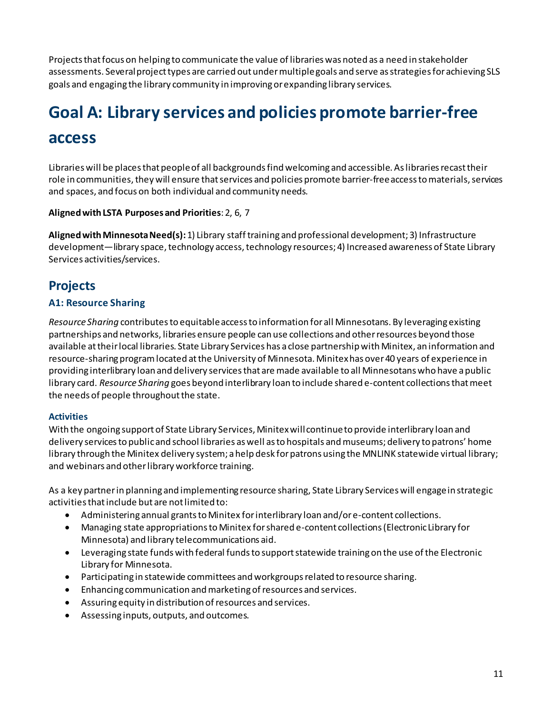Projects that focus on helping to communicate the value of librarieswas noted as a need in stakeholder assessments. Several projecttypes are carried out under multiple goals and serve as strategies for achieving SLS goals and engaging the library community in improving or expanding library services.

# <span id="page-10-0"></span>**Goal A: Library services and policies promote barrier-free**

### **access**

Libraries will be places that peopleof all backgrounds find welcoming and accessible. As libraries recasttheir role in communities, they will ensure that services and policies promote barrier-free accessto materials, services and spaces, and focus on both individual and community needs.

#### **Aligned with LSTA Purposes and Priorities**: 2, 6, 7

**Aligned with Minnesota Need(s):** 1) Library staff training and professional development; 3) Infrastructure development—library space, technology access, technology resources; 4) Increased awareness of State Library Services activities/services.

### <span id="page-10-1"></span>**Projects**

#### **A1: Resource Sharing**

*Resource Sharing* contributes to equitable access to information for all Minnesotans. By leveraging existing partnerships and networks, libraries ensure people can use collections and other resources beyond those available at their local libraries. State Library Services has a close partnership with Minitex, an information and resource-sharing program located at the University of Minnesota. Minitex has over 40 years of experience in providing interlibrary loan and delivery services that are made available to all Minnesotans who have a public library card. *Resource Sharing* goes beyond interlibrary loan to include shared e-content collections that meet the needs of people throughout the state.

#### **Activities**

With the ongoing support of State Library Services, Minitex will continue to provide interlibrary loan and delivery services to public and school libraries as well as to hospitals and museums; delivery to patrons' home library through the Minitex delivery system; a help desk for patrons using the MNLINK statewide virtual library; and webinars and other library workforce training.

As a key partner in planning and implementing resource sharing, State Library Services will engage in strategic activities thatinclude but are not limited to:

- Administering annual grants to Minitex for interlibrary loan and/or e-content collections.
- Managing state appropriations to Minitex for shared e-content collections (Electronic Library for Minnesota) and library telecommunications aid.
- Leveraging state funds with federal funds to support statewide training on the use of the Electronic Library for Minnesota.
- Participating in statewide committees and workgroups related to resource sharing.
- Enhancing communication and marketing of resources and services.
- Assuring equity in distribution of resources and services.
- Assessing inputs, outputs, and outcomes.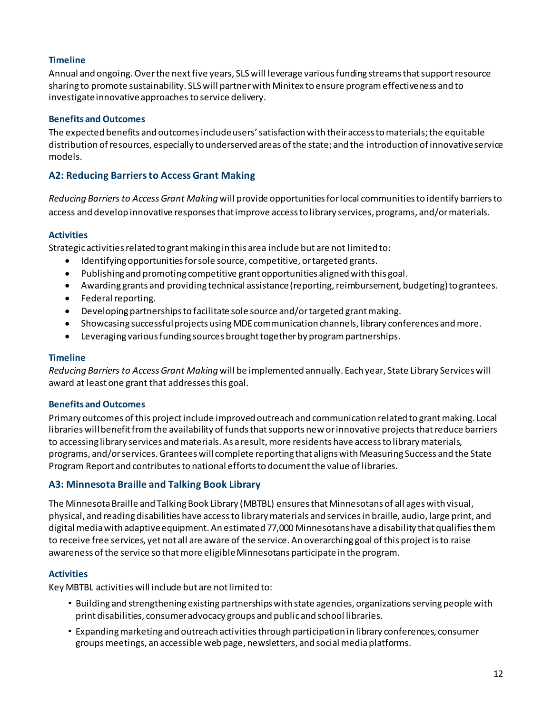#### **Timeline**

Annual and ongoing. Over the next five years, SLS will leverage various funding streams that support resource sharing to promote sustainability. SLSwill partner with Minitex to ensure program effectiveness and to investigate innovative approaches to service delivery.

#### **Benefits and Outcomes**

The expected benefits and outcomes include users' satisfaction with their access to materials; the equitable distribution of resources, especially to underserved areas of the state; and the introduction of innovative service models.

#### **A2: Reducing Barriers to Access Grant Making**

*Reducing Barriers to Access Grant Making* will provide opportunities for local communities to identify barriers to access and develop innovative responses that improve access to library services, programs, and/or materials.

#### **Activities**

Strategic activities related to grant making in this area include but are not limited to:

- Identifying opportunities for sole source, competitive, or targeted grants.
- Publishing and promoting competitive grant opportunities aligned with this goal.
- Awarding grants and providing technical assistance (reporting, reimbursement, budgeting) to grantees.
- Federal reporting.
- Developing partnerships to facilitate sole source and/or targeted grant making.
- Showcasing successful projects using MDEcommunication channels, library conferences and more.
- Leveraging various funding sources brought together by program partnerships.

#### **Timeline**

*Reducing Barriers to Access Grant Making* will be implemented annually. Each year, State Library Services will award at least one grant that addresses this goal.

#### **Benefits and Outcomes**

Primary outcomes of this project include improved outreach and communication related to grant making. Local libraries will benefit from the availability of funds that supports new or innovative projects that reduce barriers to accessing library services and materials. As a result, more residents have access to library materials, programs, and/or services.Grantees will complete reporting that aligns with Measuring Success and the State Program Report and contributes to national efforts to document the value of libraries.

#### **A3: Minnesota Braille and Talking Book Library**

The Minnesota Braille and Talking Book Library (MBTBL) ensures that Minnesotans of all ages with visual, physical, and reading disabilities have access to library materials and services in braille, audio, large print, and digital media with adaptive equipment. An estimated 77,000 Minnesotans have a disability that qualifies them to receive free services, yet not all are aware of the service. An overarching goal of this project is to raise awareness of the service so that more eligible Minnesotans participate in the program.

#### **Activities**

Key MBTBL activities will include but are not limited to:

- Building and strengthening existing partnerships with state agencies, organizations serving people with print disabilities, consumeradvocacy groups and publicand school libraries.
- Expandingmarketing and outreach activitiesthrough participation in library conferences, consumer groupsmeetings, an accessible web page, newsletters, and social mediaplatforms.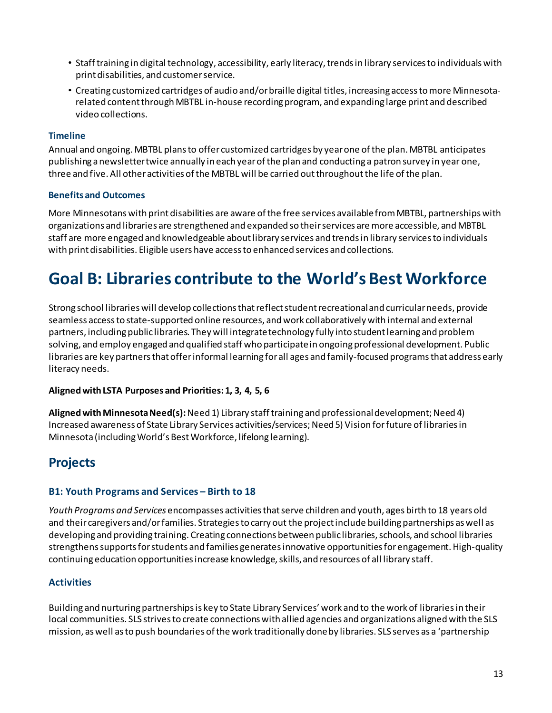- Staff training in digital technology, accessibility, early literacy, trends in library services to individuals with print disabilities, and customerservice.
- Creating customized cartridges of audio and/orbraille digital titles, increasing accesstomore Minnesotarelated contentthroughMBTBL in-house recordingprogram, and expanding large print and described video collections.

#### **Timeline**

Annual and ongoing. MBTBL plansto offer customized cartridges by yearone ofthe plan. MBTBL anticipates publishing a newslettertwice annually in each yearofthe plan and conducting a patron survey in year one, three and five. All otheractivities ofthe MBTBL will be carried outthroughoutthe life ofthe plan.

#### **Benefits and Outcomes**

More Minnesotanswith print disabilities are aware ofthe free services availablefromMBTBL, partnerships with organizations and libraries are strengthened and expanded so their services are more accessible, and MBTBL staff are more engaged and knowledgeable aboutlibrary services and trendsin library servicesto individuals with print disabilities. Eligible users have accessto enhanced services and collections.

# <span id="page-12-0"></span>**Goal B: Libraries contribute to the World's Best Workforce**

Strong school libraries will develop collections that reflect student recreational and curricular needs, provide seamless access to state-supported online resources, and work collaboratively with internal and external partners, including public libraries. They will integrate technology fully into student learning and problem solving, and employ engaged and qualified staff who participate in ongoing professional development. Public libraries are key partners that offer informal learning for all ages and family-focused programs that address early literacy needs.

#### **Aligned with LSTA Purposes and Priorities: 1, 3, 4, 5, 6**

**Aligned with Minnesota Need(s):**Need 1) Library staff training and professional development; Need 4) Increased awareness of State Library Services activities/services;Need 5) Vision for future of libraries in Minnesota (including World's Best Workforce, lifelong learning).

### <span id="page-12-1"></span>**Projects**

#### **B1: Youth Programs and Services – Birth to 18**

*Youth Programs and Services* encompasses activities thatserve children and youth, ages birth to 18 years old and their caregivers and/or families. Strategies to carry out the project include building partnerships as well as developing and providing training. Creating connections between public libraries, schools, and school libraries strengthens supports for students and families generates innovative opportunities for engagement. High-quality continuing education opportunities increase knowledge, skills, and resources of all library staff.

#### **Activities**

Building and nurturing partnerships is key to State Library Services' work and to the work of libraries in their local communities. SLS strives to create connections with allied agencies and organizations alignedwith the SLS mission, as well as to push boundaries of the work traditionally done by libraries. SLS serves as a 'partnership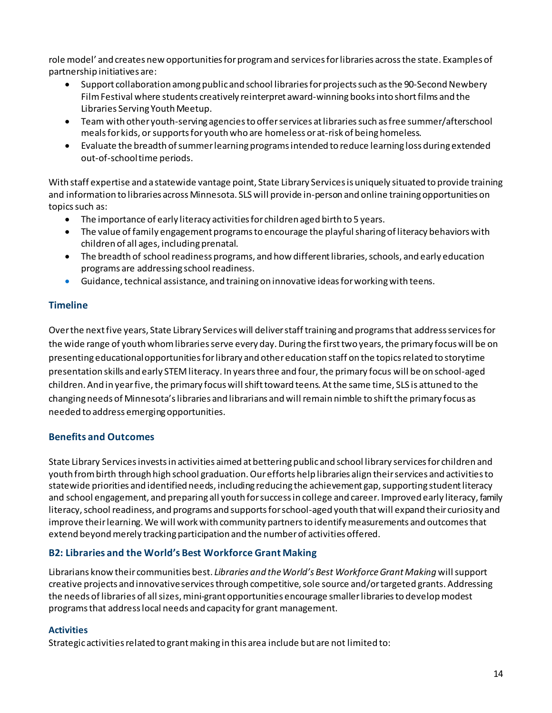role model' and creates new opportunities for program and services for libraries across the state. Examples of partnership initiatives are:

- Support collaboration among public and school libraries for projects such as the 90-Second Newbery Film Festival where students creatively reinterpret award-winning books into short films and the Libraries Serving Youth Meetup.
- Team with other youth-serving agencies to offer services at libraries such as free summer/afterschool meals for kids, or supports for youth who are homeless or at-risk of being homeless.
- Evaluate the breadth of summer learning programs intended to reduce learning loss during extended out-of-schooltime periods.

With staff expertise and a statewide vantage point, State Library Services is uniquely situated to provide training and information to libraries across Minnesota. SLS will provide in-person and online training opportunities on topics such as:

- The importance of early literacy activities for children aged birth to 5 years.
- The value of family engagement programs to encourage the playful sharing of literacy behaviors with children of all ages, including prenatal.
- The breadth of school readiness programs, and how different libraries, schools, and early education programs are addressing school readiness.
- Guidance, technical assistance, and training on innovative ideas for working with teens.

#### **Timeline**

Over the next five years, State Library Services will deliverstaff training and programs that address services for the wide range of youth whom libraries serve every day. During the first two years, the primary focus will be on presenting educational opportunities for library and other education staff on the topics related to storytime presentation skills and early STEM literacy. In years three and four, the primary focus will be on school-aged children. And in year five, the primary focus will shifttoward teens. At the same time, SLS is attuned to the changing needs of Minnesota's libraries and librarians and will remain nimble to shift the primary focus as needed to address emerging opportunities.

#### **Benefits and Outcomes**

State Library Services invests in activities aimed at bettering public and school library services for children and youth from birth through high school graduation. Our efforts help libraries align their services and activitiesto statewide priorities and identified needs, including reducing the achievement gap, supporting student literacy and school engagement, and preparing all youth for success in college and career. Improved early literacy, family literacy, school readiness, and programs and supports for school-aged youth that will expand their curiosity and improve their learning. We will work with community partners to identify measurements and outcomes that extend beyond merely tracking participation and the number of activities offered.

#### **B2: Libraries and the World's Best Workforce Grant Making**

Librarians know their communities best. *Libraries and the World's Best WorkforceGrant Making* will support creative projects and innovative servicesthrough competitive, sole source and/ortargeted grants. Addressing the needs of libraries of all sizes, mini-grantopportunities encourage smaller libraries to develop modest programs that address local needs and capacity for grant management.

#### **Activities**

Strategic activities related to grant making in this area include but are not limited to: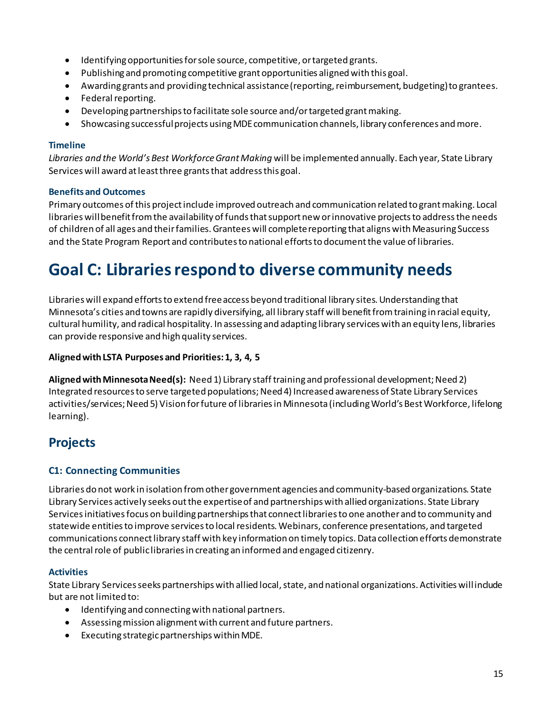- Identifying opportunities for sole source, competitive, or targeted grants.
- Publishing and promoting competitive grant opportunities aligned with this goal.
- Awarding grants and providing technical assistance (reporting, reimbursement, budgeting) to grantees.
- Federal reporting.
- Developing partnerships to facilitate sole source and/or targeted grant making.
- Showcasing successful projects using MDEcommunication channels, library conferences and more.

#### **Timeline**

*Libraries and the World's Best Workforce Grant Making* will be implemented annually. Each year, State Library Services will award at least three grants that address this goal.

#### **Benefits and Outcomes**

Primary outcomes of this project include improved outreach and communication related to grant making. Local libraries will benefit from the availability of funds that support new or innovative projects to address the needs of children of all ages and their families. Grantees will complete reporting that aligns with Measuring Success and the State Program Report and contributes to national efforts to document the value of libraries.

# <span id="page-14-0"></span>**Goal C: Libraries respond to diverse community needs**

Libraries will expand effortsto extend free access beyond traditional library sites. Understanding that Minnesota's cities and towns are rapidly diversifying, all library staff will benefit from training in racial equity, cultural humility, and radical hospitality. In assessing and adapting library services with an equity lens, libraries can provide responsive and high quality services.

#### **Aligned with LSTA Purposes and Priorities: 1, 3, 4, 5**

**Aligned with Minnesota Need(s):** Need 1) Library staff training and professional development; Need 2) Integrated resources to serve targeted populations; Need 4) Increased awareness of State Library Services activities/services; Need 5) Vision for future of libraries in Minnesota (including World's Best Workforce, lifelong learning).

### <span id="page-14-1"></span>**Projects**

#### **C1: Connecting Communities**

Libraries do not work in isolation from other government agencies and community-based organizations. State Library Services actively seeks out the expertiseof and partnerships with allied organizations. State Library Services initiatives focus on building partnerships that connect libraries to one another and to community and statewide entities to improve services to local residents. Webinars, conference presentations, and targeted communications connectlibrary staff with key information on timely topics. Data collection efforts demonstrate the central role of public libraries in creating an informed and engaged citizenry.

#### **Activities**

State Library Services seeks partnerships with allied local, state, and national organizations. Activities will include but are not limited to:

- Identifying and connectingwith national partners.
- Assessing mission alignmentwith current and future partners.
- Executing strategic partnerships within MDE.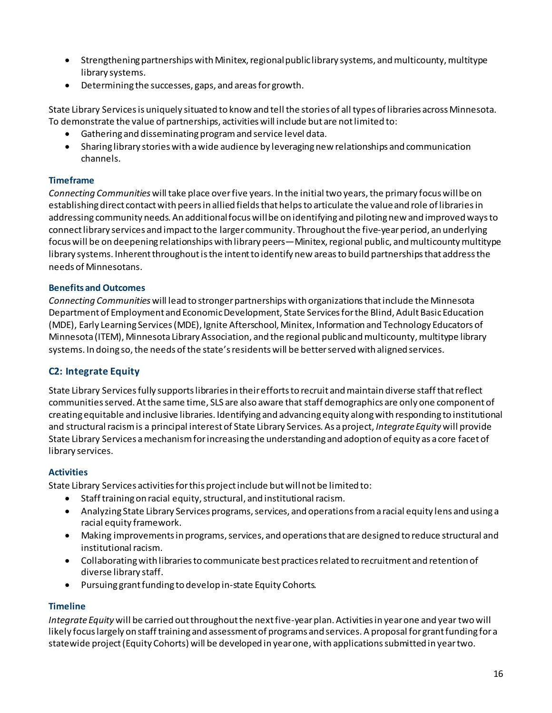- Strengthening partnerships with Minitex, regional public library systems, and multicounty, multitype library systems.
- Determining the successes, gaps, and areas for growth.

State Library Services is uniquely situated to know and tell the stories of all types of libraries across Minnesota. To demonstrate the value of partnerships, activities will include but are not limited to:

- Gathering and disseminating program and service level data.
- Sharing library stories with a wide audience by leveraging new relationships and communication channels.

#### **Timeframe**

*Connecting Communities* will take place over five years. In the initial two years, the primary focus will be on establishing direct contact with peers in allied fieldsthat helps to articulate the value and role of libraries in addressing community needs. An additional focus will be on identifying and piloting new and improved ways to connect library services and impact to the larger community. Throughout the five-year period, an underlying focus will be on deepening relationships with library peers—Minitex, regional public, and multicounty multitype library systems. Inherent throughout is the intent to identify new areas to build partnerships that address the needs of Minnesotans.

#### **Benefits and Outcomes**

*Connecting Communities* will lead to stronger partnerships with organizations that include the Minnesota Department of Employment and Economic Development, State Services for the Blind, Adult Basic Education (MDE), Early Learning Services (MDE), Ignite Afterschool, Minitex, Information and Technology Educators of Minnesota (ITEM), Minnesota Library Association, and the regional public and multicounty, multitype library systems. In doing so, the needs of the state's residents will be better served with aligned services.

#### **C2: Integrate Equity**

State Library Services fully supports libraries in their efforts to recruit and maintain diverse staff that reflect communities served. At the same time, SLS are also aware that staff demographics are only one component of creating equitable and inclusive libraries. Identifying and advancing equity along with responding to institutional and structural racism is a principal interest of State Library Services. As a project, *Integrate Equity* will provide State Library Services a mechanism for increasing the understanding and adoption of equity as a core facet of library services.

#### **Activities**

State Library Services activities for this project include but will not be limited to:

- Staff training on racial equity, structural, and institutional racism.
- Analyzing State Library Services programs, services, and operations from a racial equity lens and using a racial equity framework.
- Making improvements in programs, services, and operations that are designed to reduce structural and institutional racism.
- Collaborating with libraries to communicate best practices related to recruitment and retention of diverse library staff.
- Pursuing grant funding to develop in-state Equity Cohorts*.*

#### **Timeline**

*Integrate Equity* will be carried out throughout the next five-year plan. Activities in year one and year two will likely focus largely on staff training and assessment of programs and services. A proposal for grant funding for a statewide project (Equity Cohorts) will be developed in year one, with applications submitted in year two.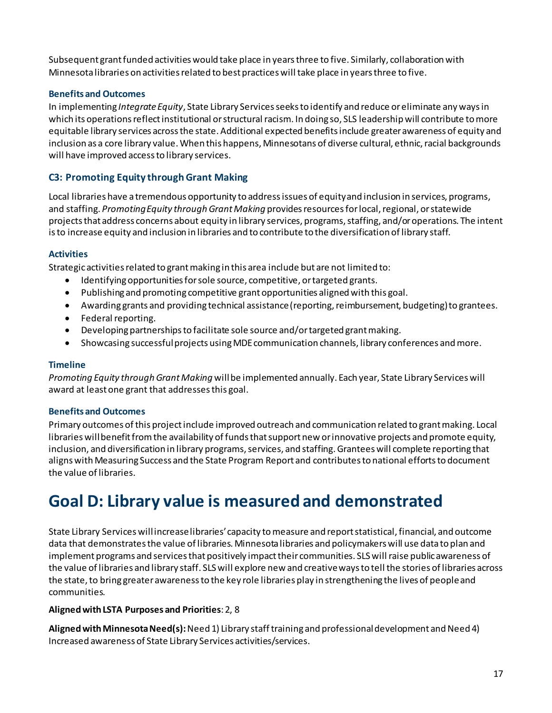Subsequent grant funded activities would take place in years three to five. Similarly, collaboration with Minnesota libraries on activities related to best practices will take place in years three to five.

#### **Benefits and Outcomes**

In implementing *Integrate Equity*, State Library Services seeks to identify and reduce or eliminate any ways in which its operations reflect institutional or structural racism. In doing so, SLS leadership will contribute to more equitable library services across the state. Additional expected benefits include greater awareness of equity and inclusion as a core library value. When this happens, Minnesotans of diverse cultural, ethnic, racial backgrounds will have improved access to library services.

#### **C3: Promoting Equity through Grant Making**

Local libraries have a tremendous opportunity to address issues of equity and inclusion in services, programs, and staffing. *Promoting Equity through Grant Making* provides resources for local, regional, or statewide projects that address concerns about equity in library services, programs, staffing, and/or operations. The intent is to increase equity and inclusion in libraries and to contribute to the diversification of library staff.

#### **Activities**

Strategic activities related to grant making in this area include but are not limited to:

- Identifying opportunities for sole source, competitive, or targeted grants.
- Publishing and promoting competitive grant opportunities aligned with this goal.
- Awarding grants and providing technical assistance (reporting, reimbursement, budgeting) to grantees.
- Federal reporting.
- Developing partnerships to facilitate sole source and/or targeted grant making.
- Showcasing successful projects using MDEcommunication channels, library conferences and more.

#### **Timeline**

*Promoting Equity through Grant Making* will be implemented annually. Each year, State Library Services will award at least one grant that addresses this goal.

#### **Benefits and Outcomes**

Primary outcomes of this project include improved outreach and communication related to grant making. Local libraries will benefit from the availability of funds that support new or innovative projects and promote equity, inclusion, and diversification in library programs, services, and staffing.Grantees will complete reporting that aligns with Measuring Success and the State Program Report and contributes to national efforts to document the value of libraries.

# <span id="page-16-0"></span>**Goal D: Library value is measured and demonstrated**

State Library Serviceswill increaselibraries' capacity to measure and report statistical, financial, and outcome data that demonstrates the value of libraries. Minnesota libraries and policymakers will use data to plan and implement programs and services that positively impact their communities. SLS will raise public awareness of the value of libraries and library staff. SLS will explore new and creative ways to tell the stories of libraries across the state, to bring greater awareness to the key role libraries play in strengthening the lives of people and communities.

#### **Aligned with LSTA Purposes and Priorities**: 2, 8

Aligned with Minnesota Need(s): Need 1) Library staff training and professional development and Need 4) Increased awareness of State Library Services activities/services.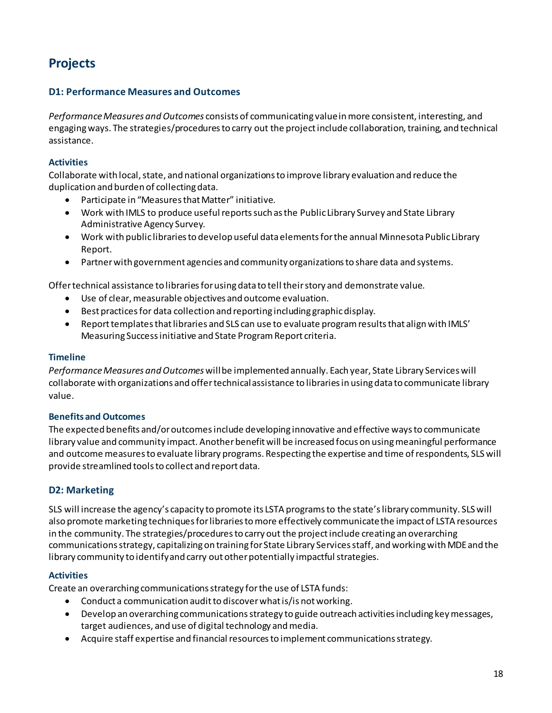# <span id="page-17-0"></span>**Projects**

#### **D1: Performance Measures and Outcomes**

*Performance Measures and Outcomes* consists of communicating value in more consistent, interesting, and engaging ways. The strategies/procedures to carry out the project include collaboration, training, and technical assistance.

#### **Activities**

Collaborate with local, state, and national organizations to improve library evaluation and reduce the duplication and burden of collecting data.

- Participate in "Measures that Matter" initiative.
- Work with IMLS to produce useful reports such as the Public Library Survey and State Library Administrative Agency Survey.
- Work with public libraries to develop useful data elements for the annual Minnesota Public Library Report.
- Partnerwith government agencies and community organizations to share data and systems.

Offer technical assistance to libraries for using data to tell their story and demonstrate value.

- Use of clear, measurable objectives and outcome evaluation.
- Best practices for data collection and reporting including graphic display.
- Report templates that libraries and SLS can use to evaluate programresults that align with IMLS' Measuring Success initiative and State Program Report criteria.

#### **Timeline**

*Performance Measures and Outcomes* will be implemented annually. Each year, State Library Services will collaborate with organizations and offer technical assistance to libraries in using data to communicate library value.

#### **Benefits and Outcomes**

The expected benefits and/or outcomes include developing innovative and effective ways to communicate library value and community impact. Another benefit will be increased focus on using meaningful performance and outcome measuresto evaluate library programs. Respecting the expertise and time of respondents, SLS will provide streamlined tools to collect and report data.

#### **D2: Marketing**

SLS will increase the agency's capacity to promote its LSTA programs to the state's library community. SLS will also promote marketing techniques for libraries to more effectively communicate the impact of LSTA resources in the community. The strategies/procedures to carry out the project include creating an overarching communications strategy, capitalizing on training for State Library Services staff, and working with MDE and the library community to identify and carry out other potentially impactful strategies.

#### **Activities**

Create an overarching communications strategy for the use of LSTA funds:

- Conduct a communication audit to discover what is/is not working.
- Develop an overarching communications strategy to guide outreach activities including key messages, target audiences, and use of digital technology and media.
- Acquire staff expertise and financial resources to implement communications strategy.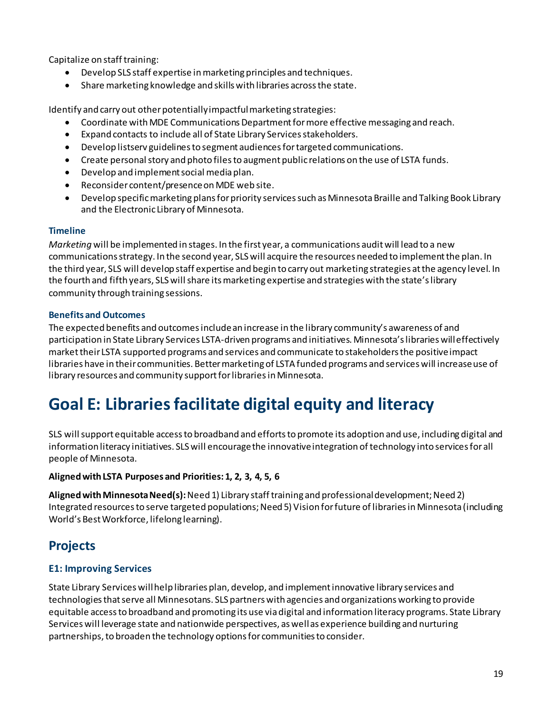Capitalize on staff training:

- Develop SLS staff expertise in marketing principles and techniques.
- Share marketing knowledge and skills with libraries across the state.

Identify and carry out other potentially impactful marketing strategies:

- Coordinate with MDE Communications Department for more effective messaging and reach.
- Expand contacts to include all of State Library Services stakeholders.
- Develop listserv guidelines to segment audiences for targeted communications.
- Create personal story and photo files to augment public relations on the use of LSTA funds.
- Develop and implementsocial media plan.
- Reconsider content/presence on MDE web site.
- Develop specific marketing plans for priority services such as Minnesota Braille and Talking Book Library and the Electronic Library of Minnesota.

#### **Timeline**

*Marketing* will be implemented in stages. In the first year, a communications audit will lead to a new communications strategy. In the second year, SLS will acquire the resources needed to implement the plan. In the third year, SLS will develop staff expertise and begin to carry out marketing strategies at the agency level. In the fourth and fifth years, SLS will share its marketing expertise and strategies with the state's library community through training sessions.

#### **Benefits and Outcomes**

The expected benefits and outcomes includean increase in the library community's awareness of and participation in State Library Services LSTA-driven programs and initiatives. Minnesota's libraries will effectively market their LSTA supported programs and services and communicate to stakeholders the positive impact libraries have in their communities. Better marketing of LSTA funded programs and services will increase use of library resources and community support for libraries in Minnesota.

# <span id="page-18-0"></span>**Goal E: Libraries facilitate digital equity and literacy**

SLS will support equitable access to broadband and efforts to promote its adoption and use, including digital and information literacy initiatives. SLS will encourage the innovative integration of technology into services for all people of Minnesota.

#### **Aligned with LSTA Purposes and Priorities: 1, 2, 3, 4, 5, 6**

**Aligned with Minnesota Need(s):** Need 1) Library staff training and professional development; Need 2) Integrated resources to serve targeted populations; Need 5) Vision for future of libraries in Minnesota (including World's Best Workforce, lifelong learning).

### <span id="page-18-1"></span>**Projects**

#### **E1: Improving Services**

State Library Services will help libraries plan, develop, and implement innovative library services and technologies that serve all Minnesotans. SLS partners with agencies and organizations working to provide equitable access to broadband and promoting its use via digital and information literacy programs. State Library Services will leverage state and nationwide perspectives, as well as experience building and nurturing partnerships, to broaden the technology options for communities to consider.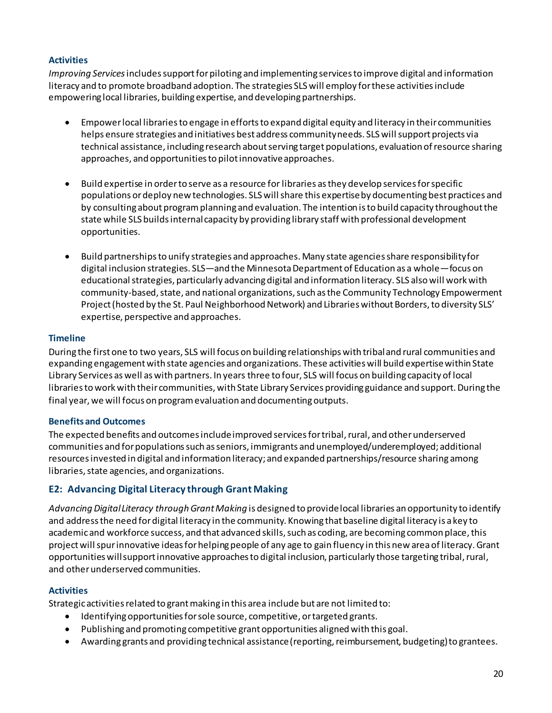#### **Activities**

*Improving Services*includes support for piloting and implementing services to improve digital and information literacy and to promote broadband adoption. The strategies SLS will employ for these activities include empowering local libraries, building expertise, and developing partnerships.

- Empower local libraries to engage in efforts to expand digital equity and literacy in their communities helps ensure strategies and initiatives best address community needs. SLS will support projects via technical assistance, including research about serving target populations, evaluation of resource sharing approaches, and opportunities to pilot innovative approaches.
- Build expertise in order to serve as a resource for libraries as they develop services for specific populations or deploy new technologies. SLS will share this expertise by documenting best practices and by consulting about program planning and evaluation. The intention is to build capacity throughout the state while SLS builds internal capacity by providing library staff with professional development opportunities.
- Build partnerships to unify strategies and approaches. Many state agencies share responsibility for digital inclusion strategies. SLS—and the Minnesota Department of Education as a whole—focus on educational strategies, particularly advancing digital and information literacy. SLS also will work with community-based, state, and national organizations, such as the Community Technology Empowerment Project (hosted by the St. Paul Neighborhood Network) and Libraries without Borders, to diversity SLS' expertise, perspective and approaches.

#### **Timeline**

During the first one to two years, SLS will focus on building relationships with tribal and rural communities and expanding engagement with state agencies and organizations. These activities will build expertise within State Library Services as well as with partners. In years three to four, SLS will focus on building capacity of local libraries to work with their communities, with State Library Services providing guidance and support. During the final year, we will focus on program evaluation and documenting outputs.

#### **Benefits and Outcomes**

The expected benefits and outcomes include improved services for tribal, rural, and other underserved communities and for populations such as seniors, immigrants and unemployed/underemployed; additional resources invested in digital and information literacy; and expanded partnerships/resource sharing among libraries, state agencies, and organizations.

#### **E2: Advancing Digital Literacy through Grant Making**

*Advancing Digital Literacy through Grant Making* is designed to provide local libraries an opportunity to identify and address the need for digital literacy in the community. Knowing that baseline digital literacy is a key to academic and workforce success, and that advanced skills, such as coding, are becoming common place, this project will spur innovative ideas for helping people of any age to gain fluency in this new area of literacy. Grant opportunities will support innovative approaches to digital inclusion, particularly those targeting tribal, rural, and other underserved communities.

#### **Activities**

Strategic activities related to grant making in this area include but are not limited to:

- Identifying opportunities for sole source, competitive, or targeted grants.
- Publishing and promoting competitive grant opportunities aligned with this goal.
- Awarding grants and providing technical assistance (reporting, reimbursement, budgeting) to grantees.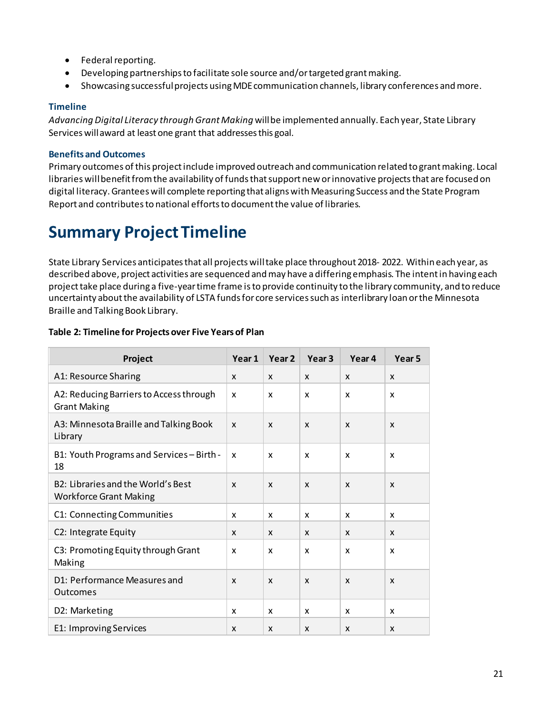- Federal reporting.
- Developing partnerships to facilitate sole source and/or targeted grant making.
- Showcasing successful projects using MDEcommunication channels, library conferences and more.

#### **Timeline**

*Advancing Digital Literacy through Grant Making* will be implemented annually. Each year, State Library Services willaward at least one grant that addresses this goal.

#### **Benefits and Outcomes**

Primary outcomes of this project include improved outreach and communication related to grant making. Local libraries will benefit from the availability of funds that support new or innovative projects that are focused on digital literacy. Grantees will complete reporting that aligns with Measuring Success and the State Program Report and contributes to national efforts to document the value of libraries.

# <span id="page-20-0"></span>**Summary Project Timeline**

State Library Services anticipates that all projects will take place throughout 2018- 2022. Within each year, as described above, project activities are sequenced and may have adiffering emphasis. The intent in having each project take place during a five-year time frame is to provide continuity to the library community, and to reduce uncertainty about the availability of LSTA funds for core services such as interlibrary loan orthe Minnesota Braille and Talking Book Library.

| Project                                                             | Year 1 | Year <sub>2</sub> | Year <sub>3</sub>         | Year 4       | Year <sub>5</sub> |
|---------------------------------------------------------------------|--------|-------------------|---------------------------|--------------|-------------------|
| A1: Resource Sharing                                                | X      | X                 | $\boldsymbol{\mathsf{x}}$ | X            | X                 |
| A2: Reducing Barriers to Access through<br><b>Grant Making</b>      | X      | X                 | X                         | X            | x                 |
| A3: Minnesota Braille and Talking Book<br>Library                   | X      | X                 | $\boldsymbol{\mathsf{x}}$ | $\mathsf{x}$ | X                 |
| B1: Youth Programs and Services - Birth -<br>18                     | X      | X                 | $\mathsf{x}$              | X            | X                 |
| B2: Libraries and the World's Best<br><b>Workforce Grant Making</b> | X      | X                 | $\boldsymbol{\mathsf{x}}$ | X            | X                 |
| C1: Connecting Communities                                          | x      | X                 | X                         | X            | x                 |
| C2: Integrate Equity                                                | X      | X                 | X                         | X            | X                 |
| C3: Promoting Equity through Grant<br>Making                        | X      | X                 | X                         | X            | X                 |
| D1: Performance Measures and<br><b>Outcomes</b>                     | X      | X                 | $\boldsymbol{\mathsf{x}}$ | $\mathsf{x}$ | X                 |
| D2: Marketing                                                       | x      | X                 | X                         | X            | x                 |
| E1: Improving Services                                              | X      | X                 | $\mathsf{x}$              | X            | X                 |

#### **Table 2: Timeline for Projects over Five Years of Plan**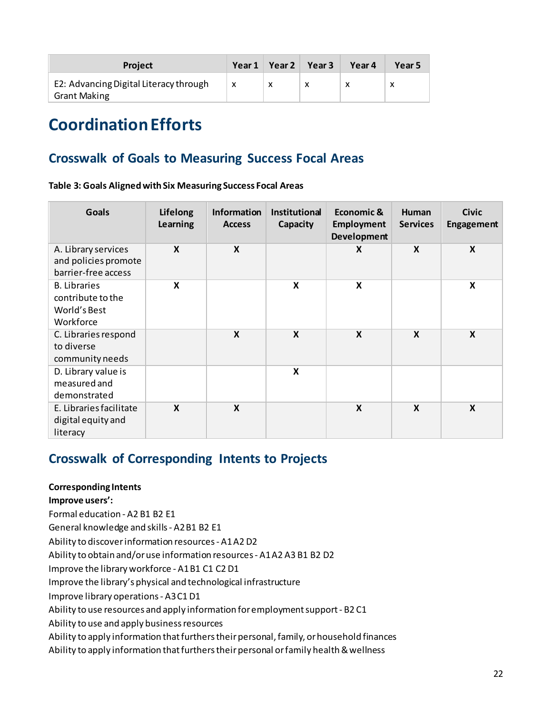| <b>Project</b>                                                | Year 1 | Year 2 $\parallel$ | Year <sub>3</sub> | Year 4 | Year 5 |
|---------------------------------------------------------------|--------|--------------------|-------------------|--------|--------|
| E2: Advancing Digital Literacy through<br><b>Grant Making</b> | X      | x                  |                   |        | х      |

# <span id="page-21-0"></span>**Coordination Efforts**

### <span id="page-21-1"></span>**Crosswalk of Goals to Measuring Success Focal Areas**

**Table 3: Goals Aligned withSix Measuring Success Focal Areas**

| <b>Goals</b>                                                          | Lifelong<br>Learning      | Information<br><b>Access</b> | <b>Institutional</b><br>Capacity | Economic &<br><b>Employment</b><br><b>Development</b> | <b>Human</b><br><b>Services</b> | <b>Civic</b><br><b>Engagement</b> |
|-----------------------------------------------------------------------|---------------------------|------------------------------|----------------------------------|-------------------------------------------------------|---------------------------------|-----------------------------------|
| A. Library services<br>and policies promote<br>barrier-free access    | $\boldsymbol{x}$          | X                            |                                  | X                                                     | $\boldsymbol{\mathsf{x}}$       | X                                 |
| <b>B.</b> Libraries<br>contribute to the<br>World's Best<br>Workforce | X                         |                              | X                                | X                                                     |                                 | X                                 |
| C. Libraries respond<br>to diverse<br>community needs                 |                           | $\boldsymbol{\mathsf{X}}$    | $\boldsymbol{\mathsf{x}}$        | $\boldsymbol{\mathsf{X}}$                             | $\boldsymbol{\mathsf{X}}$       | $\boldsymbol{\mathsf{X}}$         |
| D. Library value is<br>measured and<br>demonstrated                   |                           |                              | X                                |                                                       |                                 |                                   |
| E. Libraries facilitate<br>digital equity and<br>literacy             | $\boldsymbol{\mathsf{x}}$ | $\boldsymbol{\mathsf{x}}$    |                                  | $\boldsymbol{\mathsf{x}}$                             | $\boldsymbol{\mathsf{x}}$       | X                                 |

### <span id="page-21-2"></span>**Crosswalk of Corresponding Intents to Projects**

#### **Corresponding Intents**

**Improve users':** 

Formal education - A2 B1 B2 E1

General knowledge and skills - A2 B1 B2 E1

Ability to discover information resources - A1 A2 D2

Ability to obtain and/or use information resources - A1 A2 A3 B1 B2 D2

Improve the library workforce - A1 B1 C1 C2 D1

Improve the library's physical and technological infrastructure

Improve library operations - A3 C1 D1

Ability to use resources and apply information for employment support - B2 C1

Ability to use and apply business resources

Ability to apply information that furthers their personal, family, or household finances

Ability to apply information that furthers their personal or family health & wellness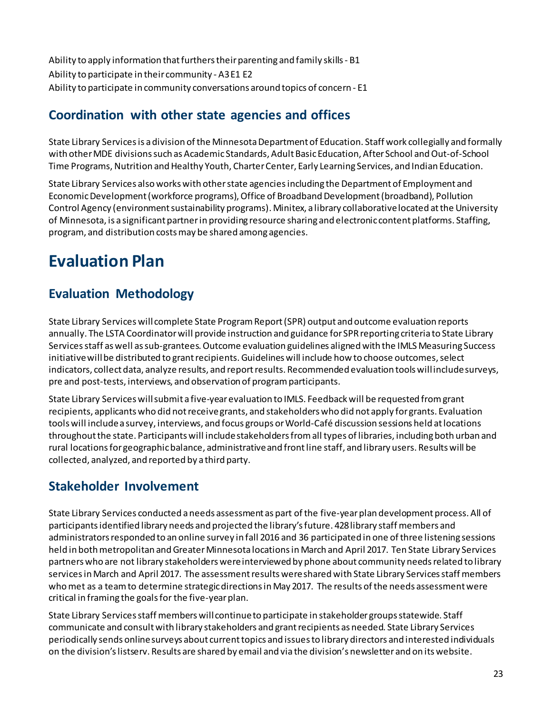Ability to apply information that furthers their parenting and family skills - B1 Ability to participate in their community - A3 E1 E2 Ability to participate in community conversations around topics of concern - E1

## <span id="page-22-0"></span>**Coordination with other state agencies and offices**

State Library Services is a division of the Minnesota Department of Education. Staff work collegially and formally with other MDE divisions such as Academic Standards, Adult Basic Education, After School and Out-of-School Time Programs, Nutrition and Healthy Youth, Charter Center, Early Learning Services, and Indian Education.

State Library Services also works with other state agencies including the Department of Employment and Economic Development (workforce programs), Office of Broadband Development (broadband), Pollution Control Agency (environment sustainability programs). Minitex, a library collaborative located at the University of Minnesota, is a significant partner in providing resource sharing and electronic content platforms. Staffing, program, and distribution costs may be shared among agencies.

# <span id="page-22-1"></span>**Evaluation Plan**

# <span id="page-22-2"></span>**Evaluation Methodology**

State Library Services will complete State Program Report (SPR) output and outcome evaluation reports annually. The LSTA Coordinator will provide instruction and guidance for SPR reporting criteria to State Library Services staff as well as sub-grantees. Outcome evaluation guidelines aligned with the IMLS Measuring Success initiativewill be distributed to grant recipients. Guidelines will include how to choose outcomes, select indicators, collect data, analyze results, and report results. Recommended evaluation tools will include surveys, pre and post-tests, interviews, and observation of programparticipants.

State Library Services will submit a five-year evaluation to IMLS. Feedback will be requested from grant recipients, applicants who did notreceive grants, and stakeholders who did not apply for grants. Evaluation tools will include a survey, interviews, and focus groups or World-Café discussion sessions held at locations throughout the state. Participants will include stakeholders from all types of libraries, including both urban and rural locationsfor geographic balance, administrative and front line staff, and library users. Results will be collected, analyzed, and reported by a third party.

### <span id="page-22-3"></span>**Stakeholder Involvement**

State Library Services conducted a needs assessment as part of the five-year plan development process. All of participants identified library needs and projected the library's future. 428 library staff members and administrators responded to an online survey in fall 2016 and 36 participated in one of three listening sessions held in both metropolitan and Greater Minnesota locationsin March and April 2017. Ten State Library Services partnerswho are not library stakeholders were interviewed by phone about community needs related to library servicesin March and April 2017. The assessment results were shared with State Library Services staff members who met as a team to determine strategic directions in May 2017. The results of the needs assessment were critical in framing the goals for the five-year plan.

State Library Services staff members will continue to participate in stakeholder groups statewide. Staff communicate and consult with library stakeholders and grant recipients as needed. State Library Services periodically sends online surveys about current topics and issues to library directors and interested individuals on the division's listserv. Results are shared by email and via the division's newsletter and on its website.